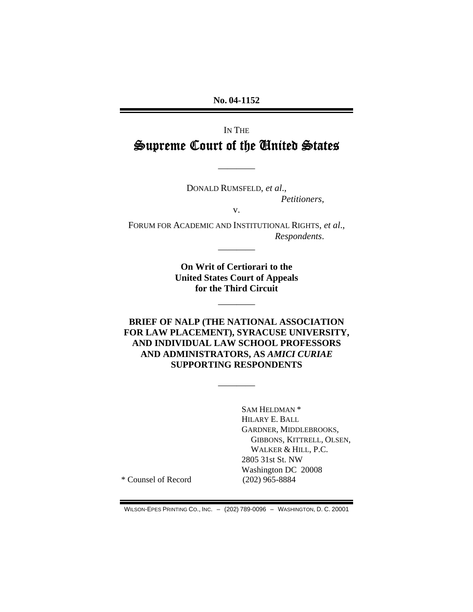**No. 04-1152** 

## IN THE Supreme Court of the United States

————

DONALD RUMSFELD, *et al*., *Petitioners*,

v.

FORUM FOR ACADEMIC AND INSTITUTIONAL RIGHTS, *et al*., *Respondents*.

————

**On Writ of Certiorari to the United States Court of Appeals for the Third Circuit** 

————

**BRIEF OF NALP (THE NATIONAL ASSOCIATION FOR LAW PLACEMENT), SYRACUSE UNIVERSITY, AND INDIVIDUAL LAW SCHOOL PROFESSORS AND ADMINISTRATORS, AS** *AMICI CURIAE* **SUPPORTING RESPONDENTS** 

————

SAM HELDMAN \* HILARY E. BALL GARDNER, MIDDLEBROOKS, GIBBONS, KITTRELL, OLSEN, WALKER & HILL, P.C. 2805 31st St. NW Washington DC 20008

\* Counsel of Record (202) 965-8884

WILSON-EPES PRINTING CO., INC. – (202) 789-0096 – WASHINGTON, D. C. 20001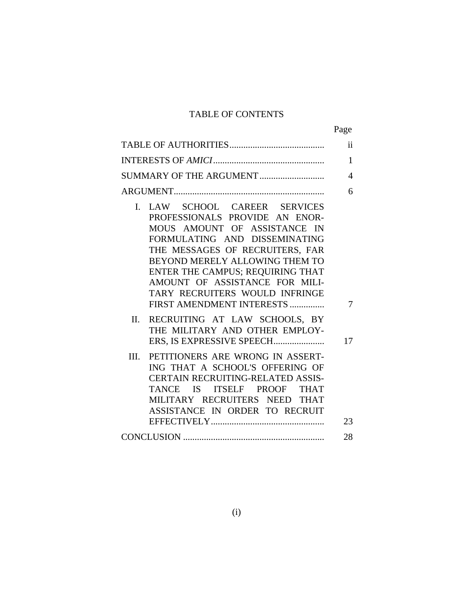### TABLE OF CONTENTS

|                                                                                                                                                                                                                                                                                                                                            | $\ddot{\mathbf{i}}$ |
|--------------------------------------------------------------------------------------------------------------------------------------------------------------------------------------------------------------------------------------------------------------------------------------------------------------------------------------------|---------------------|
|                                                                                                                                                                                                                                                                                                                                            | 1                   |
|                                                                                                                                                                                                                                                                                                                                            | 4                   |
|                                                                                                                                                                                                                                                                                                                                            | 6                   |
| I. LAW SCHOOL CAREER SERVICES<br>PROFESSIONALS PROVIDE AN ENOR-<br>MOUS AMOUNT OF ASSISTANCE IN<br>FORMULATING AND DISSEMINATING<br>THE MESSAGES OF RECRUITERS, FAR<br>BEYOND MERELY ALLOWING THEM TO<br>ENTER THE CAMPUS; REQUIRING THAT<br>AMOUNT OF ASSISTANCE FOR MILI-<br>TARY RECRUITERS WOULD INFRINGE<br>FIRST AMENDMENT INTERESTS | 7                   |
| RECRUITING AT LAW SCHOOLS, BY<br>II.<br>THE MILITARY AND OTHER EMPLOY-                                                                                                                                                                                                                                                                     | 17                  |
| PETITIONERS ARE WRONG IN ASSERT-<br>III.<br>ING THAT A SCHOOL'S OFFERING OF<br><b>CERTAIN RECRUITING-RELATED ASSIS-</b><br>TANCE IS ITSELF PROOF THAT<br>MILITARY RECRUITERS NEED THAT<br>ASSISTANCE IN ORDER TO RECRUIT                                                                                                                   | 23                  |
|                                                                                                                                                                                                                                                                                                                                            | 28                  |
|                                                                                                                                                                                                                                                                                                                                            |                     |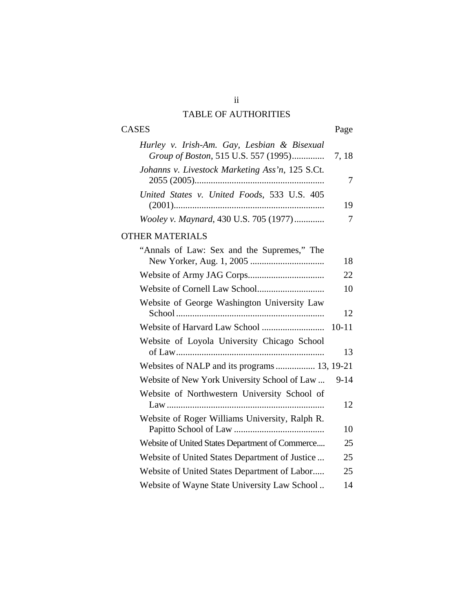## ii TABLE OF AUTHORITIES

# CASES Page

| Hurley v. Irish-Am. Gay, Lesbian & Bisexual     |  |
|-------------------------------------------------|--|
|                                                 |  |
| Johanns v. Livestock Marketing Ass'n, 125 S.Ct. |  |
|                                                 |  |
| United States v. United Foods, 533 U.S. 405     |  |
|                                                 |  |
| Wooley v. Maynard, 430 U.S. 705 (1977)          |  |

### OTHER MATERIALS

| "Annals of Law: Sex and the Supremes," The      |           |
|-------------------------------------------------|-----------|
|                                                 | 18        |
|                                                 | 22        |
|                                                 | 10        |
| Website of George Washington University Law     | 12        |
|                                                 | $10 - 11$ |
| Website of Loyola University Chicago School     |           |
|                                                 | 13        |
| Websites of NALP and its programs 13, 19-21     |           |
| Website of New York University School of Law    | 9-14      |
| Website of Northwestern University School of    | 12        |
| Website of Roger Williams University, Ralph R.  | 10        |
| Website of United States Department of Commerce | 25        |
| Website of United States Department of Justice  | 25        |
| Website of United States Department of Labor    | 25        |
| Website of Wayne State University Law School    | 14        |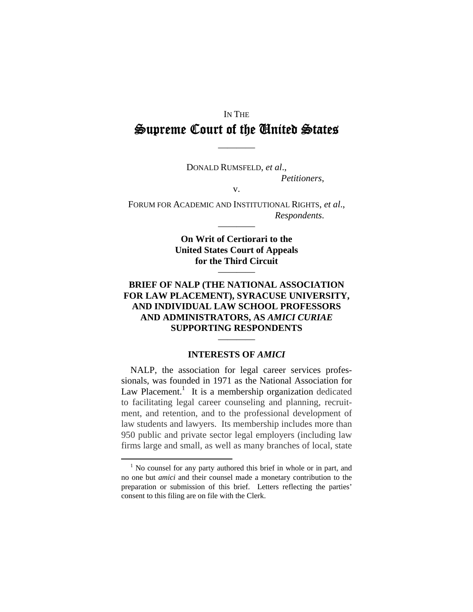# IN THE Supreme Court of the United States

————

DONALD RUMSFELD, *et al*., *Petitioners*, v.

FORUM FOR ACADEMIC AND INSTITUTIONAL RIGHTS, *et al*.,

*Respondents*.

**On Writ of Certiorari to the United States Court of Appeals for the Third Circuit**  ————

————

### **BRIEF OF NALP (THE NATIONAL ASSOCIATION FOR LAW PLACEMENT), SYRACUSE UNIVERSITY, AND INDIVIDUAL LAW SCHOOL PROFESSORS AND ADMINISTRATORS, AS** *AMICI CURIAE* **SUPPORTING RESPONDENTS**

### **INTERESTS OF** *AMICI*

————

NALP, the association for legal career services professionals, was founded in 1971 as the National Association for Law Placement.<sup>[1](#page-3-0)</sup> It is a membership organization dedicated to facilitating legal career counseling and planning, recruitment, and retention, and to the professional development of law students and lawyers. Its membership includes more than 950 public and private sector legal employers (including law firms large and small, as well as many branches of local, state

<span id="page-3-0"></span> $\frac{1}{1}$  $<sup>1</sup>$  No counsel for any party authored this brief in whole or in part, and</sup> no one but *amici* and their counsel made a monetary contribution to the preparation or submission of this brief. Letters reflecting the parties' consent to this filing are on file with the Clerk.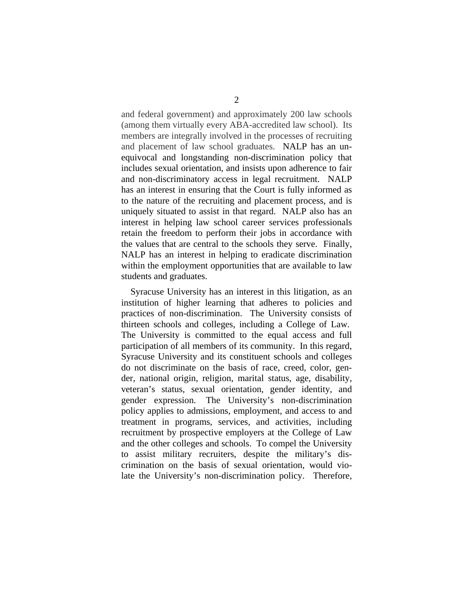and federal government) and approximately 200 law schools (among them virtually every ABA-accredited law school). Its members are integrally involved in the processes of recruiting and placement of law school graduates. NALP has an unequivocal and longstanding non-discrimination policy that includes sexual orientation, and insists upon adherence to fair and non-discriminatory access in legal recruitment. NALP has an interest in ensuring that the Court is fully informed as to the nature of the recruiting and placement process, and is uniquely situated to assist in that regard. NALP also has an interest in helping law school career services professionals retain the freedom to perform their jobs in accordance with the values that are central to the schools they serve. Finally, NALP has an interest in helping to eradicate discrimination within the employment opportunities that are available to law students and graduates.

Syracuse University has an interest in this litigation, as an institution of higher learning that adheres to policies and practices of non-discrimination. The University consists of thirteen schools and colleges, including a College of Law. The University is committed to the equal access and full participation of all members of its community. In this regard, Syracuse University and its constituent schools and colleges do not discriminate on the basis of race, creed, color, gender, national origin, religion, marital status, age, disability, veteran's status, sexual orientation, gender identity, and gender expression. The University's non-discrimination policy applies to admissions, employment, and access to and treatment in programs, services, and activities, including recruitment by prospective employers at the College of Law and the other colleges and schools. To compel the University to assist military recruiters, despite the military's discrimination on the basis of sexual orientation, would violate the University's non-discrimination policy. Therefore,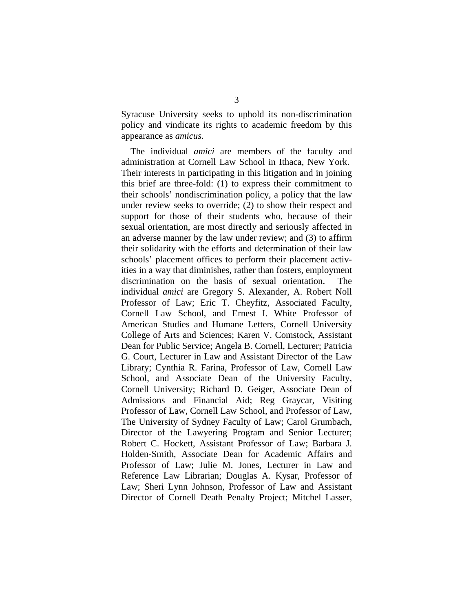Syracuse University seeks to uphold its non-discrimination policy and vindicate its rights to academic freedom by this appearance as *amicus*.

The individual *amici* are members of the faculty and administration at Cornell Law School in Ithaca, New York. Their interests in participating in this litigation and in joining this brief are three-fold: (1) to express their commitment to their schools' nondiscrimination policy, a policy that the law under review seeks to override; (2) to show their respect and support for those of their students who, because of their sexual orientation, are most directly and seriously affected in an adverse manner by the law under review; and (3) to affirm their solidarity with the efforts and determination of their law schools' placement offices to perform their placement activities in a way that diminishes, rather than fosters, employment discrimination on the basis of sexual orientation. The individual *amici* are Gregory S. Alexander, A. Robert Noll Professor of Law; Eric T. Cheyfitz, Associated Faculty, Cornell Law School, and Ernest I. White Professor of American Studies and Humane Letters, Cornell University College of Arts and Sciences; Karen V. Comstock, Assistant Dean for Public Service; Angela B. Cornell, Lecturer; Patricia G. Court, Lecturer in Law and Assistant Director of the Law Library; Cynthia R. Farina, Professor of Law, Cornell Law School, and Associate Dean of the University Faculty, Cornell University; Richard D. Geiger, Associate Dean of Admissions and Financial Aid; Reg Graycar, Visiting Professor of Law, Cornell Law School, and Professor of Law, The University of Sydney Faculty of Law; Carol Grumbach, Director of the Lawyering Program and Senior Lecturer; Robert C. Hockett, Assistant Professor of Law; Barbara J. Holden-Smith, Associate Dean for Academic Affairs and Professor of Law; Julie M. Jones, Lecturer in Law and Reference Law Librarian; Douglas A. Kysar, Professor of Law; Sheri Lynn Johnson, Professor of Law and Assistant Director of Cornell Death Penalty Project; Mitchel Lasser,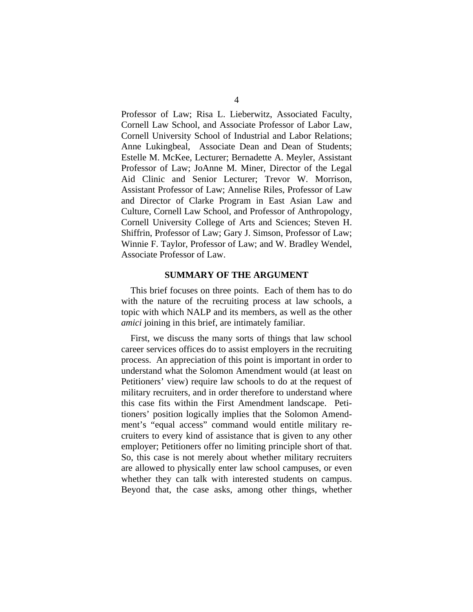Professor of Law; Risa L. Lieberwitz, Associated Faculty, Cornell Law School, and Associate Professor of Labor Law, Cornell University School of Industrial and Labor Relations; Anne Lukingbeal, Associate Dean and Dean of Students; Estelle M. McKee, Lecturer; Bernadette A. Meyler, Assistant Professor of Law; JoAnne M. Miner, Director of the Legal Aid Clinic and Senior Lecturer; Trevor W. Morrison, Assistant Professor of Law; Annelise Riles, Professor of Law and Director of Clarke Program in East Asian Law and Culture, Cornell Law School, and Professor of Anthropology, Cornell University College of Arts and Sciences; Steven H. Shiffrin, Professor of Law; Gary J. Simson, Professor of Law; Winnie F. Taylor, Professor of Law; and W. Bradley Wendel, Associate Professor of Law.

#### **SUMMARY OF THE ARGUMENT**

This brief focuses on three points. Each of them has to do with the nature of the recruiting process at law schools, a topic with which NALP and its members, as well as the other *amici* joining in this brief, are intimately familiar.

First, we discuss the many sorts of things that law school career services offices do to assist employers in the recruiting process. An appreciation of this point is important in order to understand what the Solomon Amendment would (at least on Petitioners' view) require law schools to do at the request of military recruiters, and in order therefore to understand where this case fits within the First Amendment landscape. Petitioners' position logically implies that the Solomon Amendment's "equal access" command would entitle military recruiters to every kind of assistance that is given to any other employer; Petitioners offer no limiting principle short of that. So, this case is not merely about whether military recruiters are allowed to physically enter law school campuses, or even whether they can talk with interested students on campus. Beyond that, the case asks, among other things, whether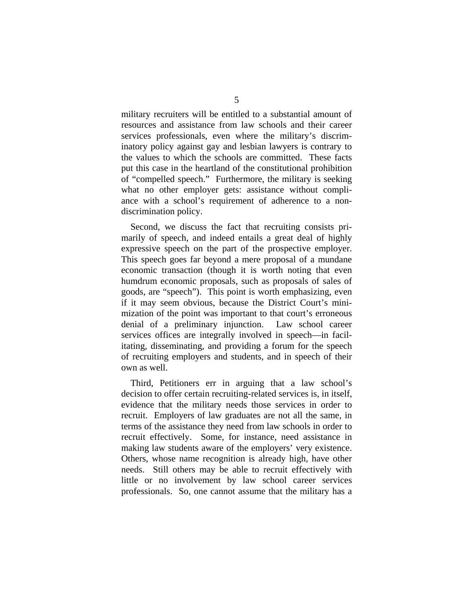military recruiters will be entitled to a substantial amount of resources and assistance from law schools and their career services professionals, even where the military's discriminatory policy against gay and lesbian lawyers is contrary to the values to which the schools are committed. These facts put this case in the heartland of the constitutional prohibition of "compelled speech." Furthermore, the military is seeking what no other employer gets: assistance without compliance with a school's requirement of adherence to a nondiscrimination policy.

Second, we discuss the fact that recruiting consists primarily of speech, and indeed entails a great deal of highly expressive speech on the part of the prospective employer. This speech goes far beyond a mere proposal of a mundane economic transaction (though it is worth noting that even humdrum economic proposals, such as proposals of sales of goods, are "speech"). This point is worth emphasizing, even if it may seem obvious, because the District Court's minimization of the point was important to that court's erroneous denial of a preliminary injunction. Law school career services offices are integrally involved in speech—in facilitating, disseminating, and providing a forum for the speech of recruiting employers and students, and in speech of their own as well.

Third, Petitioners err in arguing that a law school's decision to offer certain recruiting-related services is, in itself, evidence that the military needs those services in order to recruit. Employers of law graduates are not all the same, in terms of the assistance they need from law schools in order to recruit effectively. Some, for instance, need assistance in making law students aware of the employers' very existence. Others, whose name recognition is already high, have other needs. Still others may be able to recruit effectively with little or no involvement by law school career services professionals. So, one cannot assume that the military has a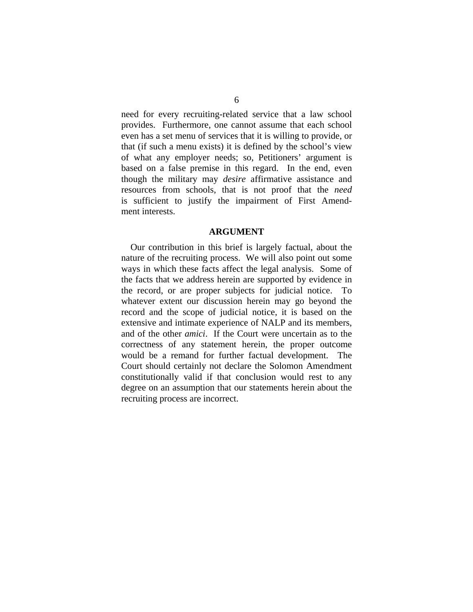need for every recruiting-related service that a law school provides. Furthermore, one cannot assume that each school even has a set menu of services that it is willing to provide, or that (if such a menu exists) it is defined by the school's view of what any employer needs; so, Petitioners' argument is based on a false premise in this regard. In the end, even though the military may *desire* affirmative assistance and resources from schools, that is not proof that the *need* is sufficient to justify the impairment of First Amendment interests.

#### **ARGUMENT**

Our contribution in this brief is largely factual, about the nature of the recruiting process. We will also point out some ways in which these facts affect the legal analysis. Some of the facts that we address herein are supported by evidence in the record, or are proper subjects for judicial notice. To whatever extent our discussion herein may go beyond the record and the scope of judicial notice, it is based on the extensive and intimate experience of NALP and its members, and of the other *amici*. If the Court were uncertain as to the correctness of any statement herein, the proper outcome would be a remand for further factual development. The Court should certainly not declare the Solomon Amendment constitutionally valid if that conclusion would rest to any degree on an assumption that our statements herein about the recruiting process are incorrect.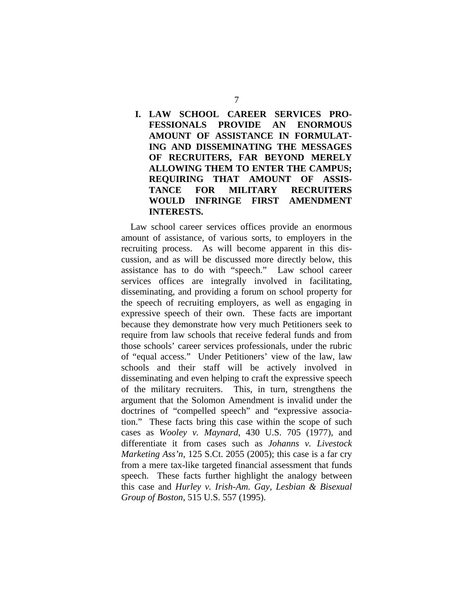### **I. LAW SCHOOL CAREER SERVICES PRO-FESSIONALS PROVIDE AN ENORMOUS AMOUNT OF ASSISTANCE IN FORMULAT-ING AND DISSEMINATING THE MESSAGES OF RECRUITERS, FAR BEYOND MERELY ALLOWING THEM TO ENTER THE CAMPUS; REQUIRING THAT AMOUNT OF ASSIS-TANCE FOR MILITARY RECRUITERS WOULD INFRINGE FIRST AMENDMENT INTERESTS.**

Law school career services offices provide an enormous amount of assistance, of various sorts, to employers in the recruiting process. As will become apparent in this discussion, and as will be discussed more directly below, this assistance has to do with "speech." Law school career services offices are integrally involved in facilitating, disseminating, and providing a forum on school property for the speech of recruiting employers, as well as engaging in expressive speech of their own. These facts are important because they demonstrate how very much Petitioners seek to require from law schools that receive federal funds and from those schools' career services professionals, under the rubric of "equal access." Under Petitioners' view of the law, law schools and their staff will be actively involved in disseminating and even helping to craft the expressive speech of the military recruiters. This, in turn, strengthens the argument that the Solomon Amendment is invalid under the doctrines of "compelled speech" and "expressive association." These facts bring this case within the scope of such cases as *Wooley v. Maynard*, 430 U.S. 705 (1977), and differentiate it from cases such as *Johanns v. Livestock Marketing Ass'n*, 125 S.Ct. 2055 (2005); this case is a far cry from a mere tax-like targeted financial assessment that funds speech. These facts further highlight the analogy between this case and *Hurley v. Irish-Am. Gay, Lesbian & Bisexual Group of Boston*, 515 U.S. 557 (1995).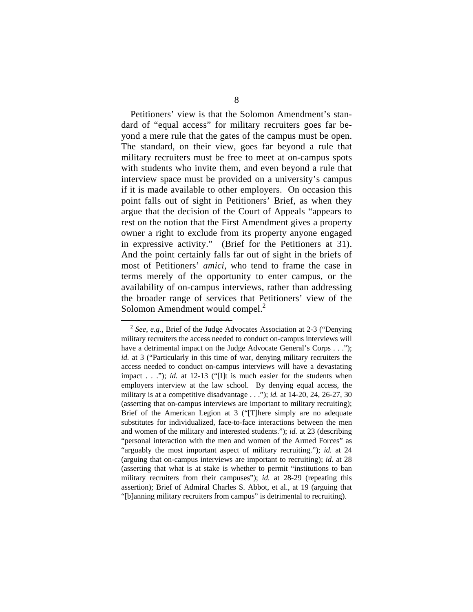Petitioners' view is that the Solomon Amendment's standard of "equal access" for military recruiters goes far beyond a mere rule that the gates of the campus must be open. The standard, on their view, goes far beyond a rule that military recruiters must be free to meet at on-campus spots with students who invite them, and even beyond a rule that interview space must be provided on a university's campus if it is made available to other employers. On occasion this point falls out of sight in Petitioners' Brief, as when they argue that the decision of the Court of Appeals "appears to rest on the notion that the First Amendment gives a property owner a right to exclude from its property anyone engaged in expressive activity." (Brief for the Petitioners at 31). And the point certainly falls far out of sight in the briefs of most of Petitioners' *amici*, who tend to frame the case in terms merely of the opportunity to enter campus, or the availability of on-campus interviews, rather than addressing the broader range of services that Petitioners' view of the Solomon Amendment would compel.<sup>[2](#page-10-0)</sup>

<span id="page-10-0"></span> <sup>2</sup> *See*, *e.g.*, Brief of the Judge Advocates Association at 2-3 ("Denying military recruiters the access needed to conduct on-campus interviews will have a detrimental impact on the Judge Advocate General's Corps . . ."); *id.* at 3 ("Particularly in this time of war, denying military recruiters the access needed to conduct on-campus interviews will have a devastating impact . . ."); *id.* at 12-13 ("[I]t is much easier for the students when employers interview at the law school. By denying equal access, the military is at a competitive disadvantage . . ."); *id.* at 14-20, 24, 26-27, 30 (asserting that on-campus interviews are important to military recruiting); Brief of the American Legion at 3 ("[T]here simply are no adequate substitutes for individualized, face-to-face interactions between the men and women of the military and interested students."); *id.* at 23 (describing "personal interaction with the men and women of the Armed Forces" as "arguably the most important aspect of military recruiting."); *id.* at 24 (arguing that on-campus interviews are important to recruiting); *id.* at 28 (asserting that what is at stake is whether to permit "institutions to ban military recruiters from their campuses"); *id.* at 28-29 (repeating this assertion); Brief of Admiral Charles S. Abbot, et al., at 19 (arguing that "[b]anning military recruiters from campus" is detrimental to recruiting).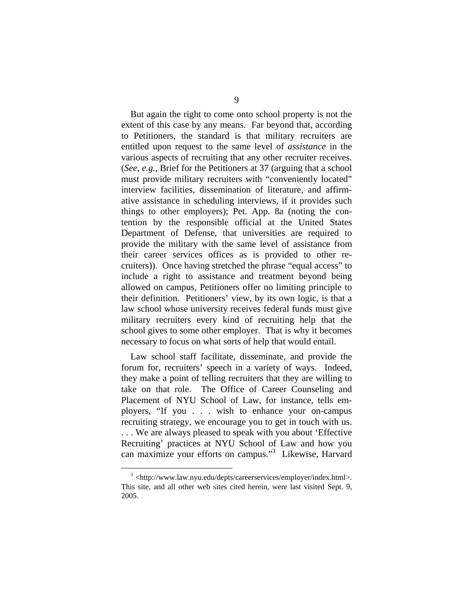But again the right to come onto school property is not the extent of this case by any means. Far beyond that, according to Petitioners, the standard is that military recruiters are entitled upon request to the same level of *assistance* in the various aspects of recruiting that any other recruiter receives. (*See*, *e.g.*, Brief for the Petitioners at 37 (arguing that a school must provide military recruiters with "conveniently located" interview facilities, dissemination of literature, and affirmative assistance in scheduling interviews, if it provides such things to other employers); Pet. App. 8a (noting the contention by the responsible official at the United States Department of Defense, that universities are required to provide the military with the same level of assistance from their career services offices as is provided to other recruiters)). Once having stretched the phrase "equal access" to include a right to assistance and treatment beyond being allowed on campus, Petitioners offer no limiting principle to their definition. Petitioners' view, by its own logic, is that a law school whose university receives federal funds must give military recruiters every kind of recruiting help that the school gives to some other employer. That is why it becomes necessary to focus on what sorts of help that would entail.

Law school staff facilitate, disseminate, and provide the forum for, recruiters' speech in a variety of ways. Indeed, they make a point of telling recruiters that they are willing to take on that role. The Office of Career Counseling and Placement of NYU School of Law, for instance, tells employers, "If you . . . wish to enhance your on-campus recruiting strategy, we encourage you to get in touch with us. . . . We are always pleased to speak with you about 'Effective Recruiting' practices at NYU School of Law and how you can maximize your efforts on campus."<sup>[3](#page-11-0)</sup> Likewise, Harvard

<span id="page-11-0"></span> <sup>3</sup> <http://www.law.nyu.edu/depts/careerservices/employer/index.html>. This site, and all other web sites cited herein, were last visited Sept. 9, 2005.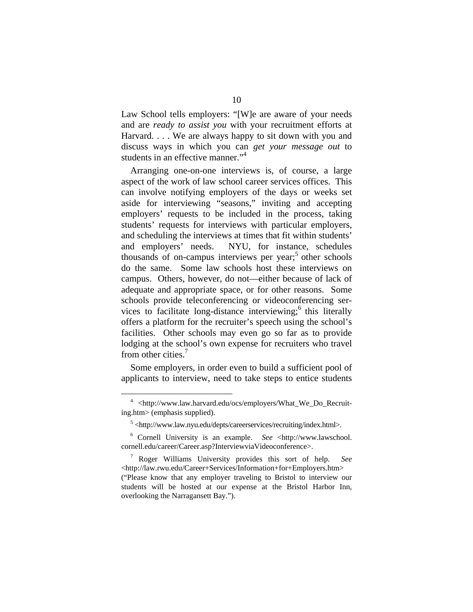Law School tells employers: "[W]e are aware of your needs and are *ready to assist you* with your recruitment efforts at Harvard. . . . We are always happy to sit down with you and discuss ways in which you can *get your message out* to students in an effective manner."<sup>4</sup>

Arranging one-on-one interviews is, of course, a large aspect of the work of law school career services offices. This can involve notifying employers of the days or weeks set aside for interviewing "seasons," inviting and accepting employers' requests to be included in the process, taking students' requests for interviews with particular employers, and scheduling the interviews at times that fit within students' and employers' needs. NYU, for instance, schedules thousands of on-campus interviews per year;<sup>5</sup> other schools do the same. Some law schools host these interviews on campus. Others, however, do not—either because of lack of adequate and appropriate space, or for other reasons. Some schools provide teleconferencing or videoconferencing services to facilitate long-distance interviewing;<sup>6</sup> this literally offers a platform for the recruiter's speech using the school's facilities. Other schools may even go so far as to provide lodging at the school's own expense for recruiters who travel from other cities. [7](#page-12-3)

Some employers, in order even to build a sufficient pool of applicants to interview, need to take steps to entice students

<span id="page-12-0"></span> <sup>4</sup> <http://www.law.harvard.edu/ocs/employers/What\_We\_Do\_Recruiting.htm> (emphasis supplied).

<span id="page-12-2"></span><span id="page-12-1"></span><sup>&</sup>lt;sup>5</sup> <http://www.law.nyu.edu/depts/careerservices/recruiting/index.html>.

<sup>6</sup> Cornell University is an example. *See* <http://www.lawschool. cornell.edu/career/Career.asp?InterviewviaVideoconference>.

<span id="page-12-3"></span><sup>7</sup> Roger Williams University provides this sort of help. *See* <http://law.rwu.edu/Career+Services/Information+for+Employers.htm> ("Please know that any employer traveling to Bristol to interview our students will be hosted at our expense at the Bristol Harbor Inn, overlooking the Narragansett Bay.").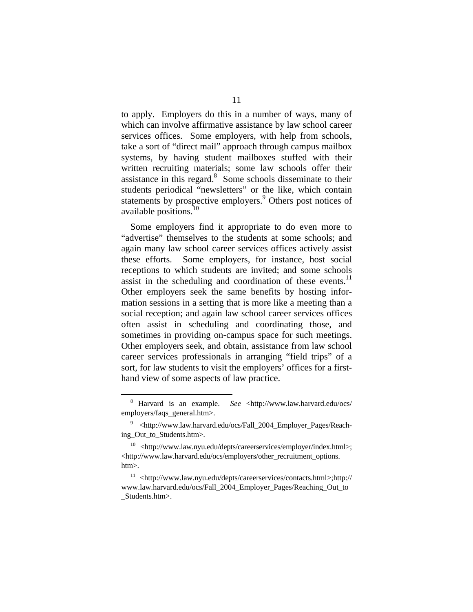to apply. Employers do this in a number of ways, many of which can involve affirmative assistance by law school career services offices. Some employers, with help from schools, take a sort of "direct mail" approach through campus mailbox systems, by having student mailboxes stuffed with their written recruiting materials; some law schools offer their assistance in this regard.<sup>8</sup> Some schools disseminate to their students periodical "newsletters" or the like, which contain statementsby prospective employers.<sup>9</sup> Others post notices of available positions. [10](#page-13-2)

Some employers find it appropriate to do even more to "advertise" themselves to the students at some schools; and again many law school career services offices actively assist these efforts. Some employers, for instance, host social receptions to which students are invited; and some schools assist in the scheduling and coordination of these events. $^{11}$ Other employers seek the same benefits by hosting information sessions in a setting that is more like a meeting than a social reception; and again law school career services offices often assist in scheduling and coordinating those, and sometimes in providing on-campus space for such meetings. Other employers seek, and obtain, assistance from law school career services professionals in arranging "field trips" of a sort, for law students to visit the employers' offices for a firsthand view of some aspects of law practice.

<span id="page-13-0"></span><sup>&</sup>lt;sup>8</sup> Harvard is an example. See <http://www.law.harvard.edu/ocs/ employers/faqs\_general.htm>.

<span id="page-13-1"></span><sup>9</sup> <http://www.law.harvard.edu/ocs/Fall\_2004\_Employer\_Pages/Reaching\_Out\_to\_Students.htm>.

<span id="page-13-2"></span> $10$  <http://www.law.nyu.edu/depts/careerservices/employer/index.html>; <http://www.law.harvard.edu/ocs/employers/other\_recruitment\_options. htm>.

<span id="page-13-3"></span><sup>11 &</sup>lt;http://www.law.nyu.edu/depts/careerservices/contacts.html>;http:// www.law.harvard.edu/ocs/Fall\_2004\_Employer\_Pages/Reaching\_Out\_to \_Students.htm>.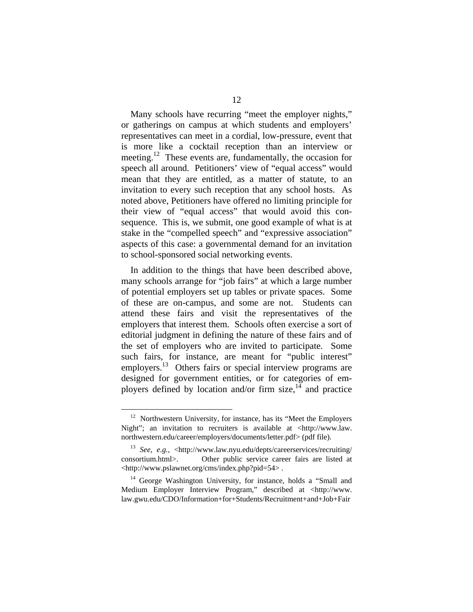Many schools have recurring "meet the employer nights," or gatherings on campus at which students and employers' representatives can meet in a cordial, low-pressure, event that is more like a cocktail reception than an interview or meeting.<sup>12</sup> These events are, fundamentally, the occasion for speech all around. Petitioners' view of "equal access" would mean that they are entitled, as a matter of statute, to an invitation to every such reception that any school hosts. As noted above, Petitioners have offered no limiting principle for their view of "equal access" that would avoid this consequence. This is, we submit, one good example of what is at stake in the "compelled speech" and "expressive association" aspects of this case: a governmental demand for an invitation to school-sponsored social networking events.

In addition to the things that have been described above, many schools arrange for "job fairs" at which a large number of potential employers set up tables or private spaces. Some of these are on-campus, and some are not. Students can attend these fairs and visit the representatives of the employers that interest them. Schools often exercise a sort of editorial judgment in defining the nature of these fairs and of the set of employers who are invited to participate. Some such fairs, for instance, are meant for "public interest" employers.<sup>13</sup> Others fairs or special interview programs are designed for government entities, or for categories of employers defined by location and/or firm size, $^{14}$  and practice

<span id="page-14-0"></span> $12$  Northwestern University, for instance, has its "Meet the Employers" Night"; an invitation to recruiters is available at <http://www.law. northwestern.edu/career/employers/documents/letter.pdf> (pdf file).

<span id="page-14-1"></span><sup>13</sup> *See*, *e.g.*, <http://www.law.nyu.edu/depts/careerservices/recruiting/ consortium.html>. Other public service career fairs are listed at <http://www.pslawnet.org/cms/index.php?pid=54> .

<span id="page-14-2"></span><sup>&</sup>lt;sup>14</sup> George Washington University, for instance, holds a "Small and Medium Employer Interview Program," described at <http://www. law.gwu.edu/CDO/Information+for+Students/Recruitment+and+Job+Fair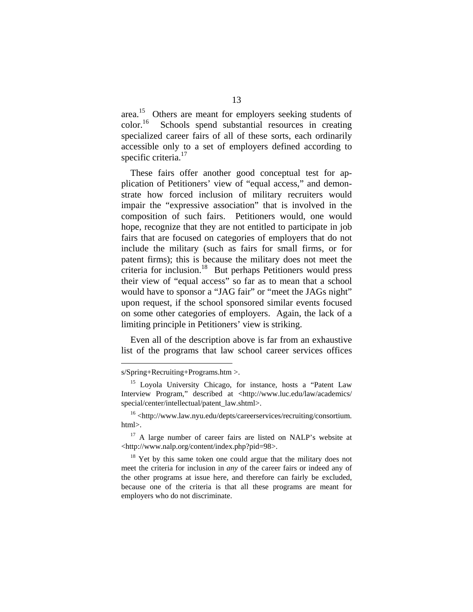area.<sup>15</sup> Others are meant for employers seeking students of  $\text{color}^{16}$  Schools spend substantial resources in creating specialized career fairs of all of these sorts, each ordinarily accessible only to a set of employers defined according to specific criteria.<sup>17</sup>

These fairs offer another good conceptual test for application of Petitioners' view of "equal access," and demonstrate how forced inclusion of military recruiters would impair the "expressive association" that is involved in the composition of such fairs. Petitioners would, one would hope, recognize that they are not entitled to participate in job fairs that are focused on categories of employers that do not include the military (such as fairs for small firms, or for patent firms); this is because the military does not meet the criteria for inclusion.<sup>18</sup> But perhaps Petitioners would press their view of "equal access" so far as to mean that a school would have to sponsor a "JAG fair" or "meet the JAGs night" upon request, if the school sponsored similar events focused on some other categories of employers. Again, the lack of a limiting principle in Petitioners' view is striking.

Even all of the description above is far from an exhaustive list of the programs that law school career services offices

<u>.</u>

s/Spring+Recruiting+Programs.htm >.

<span id="page-15-0"></span><sup>&</sup>lt;sup>15</sup> Loyola University Chicago, for instance, hosts a "Patent Law Interview Program," described at <http://www.luc.edu/law/academics/ special/center/intellectual/patent\_law.shtml>.

<span id="page-15-1"></span><sup>16 &</sup>lt;http://www.law.nyu.edu/depts/careerservices/recruiting/consortium. html>.

<span id="page-15-2"></span> $17$  A large number of career fairs are listed on NALP's website at <http://www.nalp.org/content/index.php?pid=98>.

<span id="page-15-3"></span> $18$  Yet by this same token one could argue that the military does not meet the criteria for inclusion in *any* of the career fairs or indeed any of the other programs at issue here, and therefore can fairly be excluded, because one of the criteria is that all these programs are meant for employers who do not discriminate.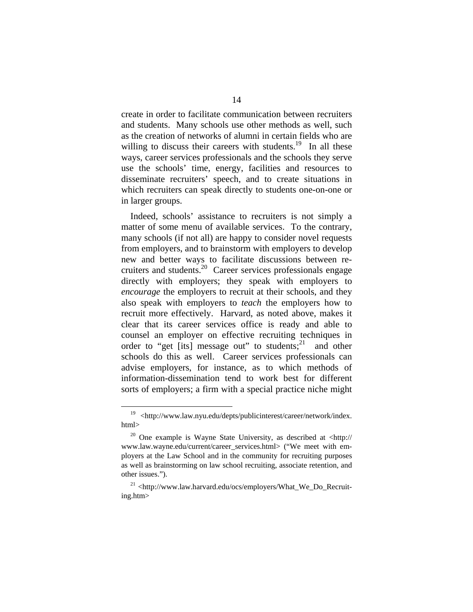create in order to facilitate communication between recruiters and students. Many schools use other methods as well, such as the creation of networks of alumni in certain fields who are willing to discuss their careers with students.<sup>19</sup> In all these ways, career services professionals and the schools they serve use the schools' time, energy, facilities and resources to disseminate recruiters' speech, and to create situations in which recruiters can speak directly to students one-on-one or in larger groups.

Indeed, schools' assistance to recruiters is not simply a matter of some menu of available services. To the contrary, many schools (if not all) are happy to consider novel requests from employers, and to brainstorm with employers to develop new and better ways to facilitate discussions between recruiters and students[.20](#page-16-1) Career services professionals engage directly with employers; they speak with employers to *encourage* the employers to recruit at their schools, and they also speak with employers to *teach* the employers how to recruit more effectively. Harvard, as noted above, makes it clear that its career services office is ready and able to counsel an employer on effective recruiting techniques in order to "get [its] message out" to students; and other schools do this as well. Career services professionals can advise employers, for instance, as to which methods of information-dissemination tend to work best for different sorts of employers; a firm with a special practice niche might

<span id="page-16-0"></span> <sup>19 &</sup>lt;http://www.law.nyu.edu/depts/publicinterest/career/network/index. html>

<span id="page-16-1"></span><sup>20</sup> One example is Wayne State University, as described at <http:// www.law.wayne.edu/current/career\_services.html> ("We meet with employers at the Law School and in the community for recruiting purposes as well as brainstorming on law school recruiting, associate retention, and other issues.").

<span id="page-16-2"></span> $^{21}$  <http://www.law.harvard.edu/ocs/employers/What\_We\_Do\_Recruiting.htm>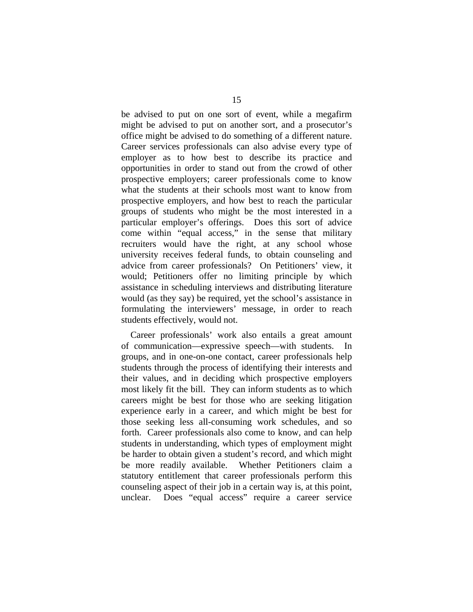be advised to put on one sort of event, while a megafirm might be advised to put on another sort, and a prosecutor's office might be advised to do something of a different nature. Career services professionals can also advise every type of employer as to how best to describe its practice and opportunities in order to stand out from the crowd of other prospective employers; career professionals come to know what the students at their schools most want to know from prospective employers, and how best to reach the particular groups of students who might be the most interested in a particular employer's offerings. Does this sort of advice come within "equal access," in the sense that military recruiters would have the right, at any school whose university receives federal funds, to obtain counseling and advice from career professionals? On Petitioners' view, it would; Petitioners offer no limiting principle by which assistance in scheduling interviews and distributing literature would (as they say) be required, yet the school's assistance in formulating the interviewers' message, in order to reach students effectively, would not.

Career professionals' work also entails a great amount of communication—expressive speech—with students. In groups, and in one-on-one contact, career professionals help students through the process of identifying their interests and their values, and in deciding which prospective employers most likely fit the bill. They can inform students as to which careers might be best for those who are seeking litigation experience early in a career, and which might be best for those seeking less all-consuming work schedules, and so forth. Career professionals also come to know, and can help students in understanding, which types of employment might be harder to obtain given a student's record, and which might be more readily available. Whether Petitioners claim a statutory entitlement that career professionals perform this counseling aspect of their job in a certain way is, at this point, unclear. Does "equal access" require a career service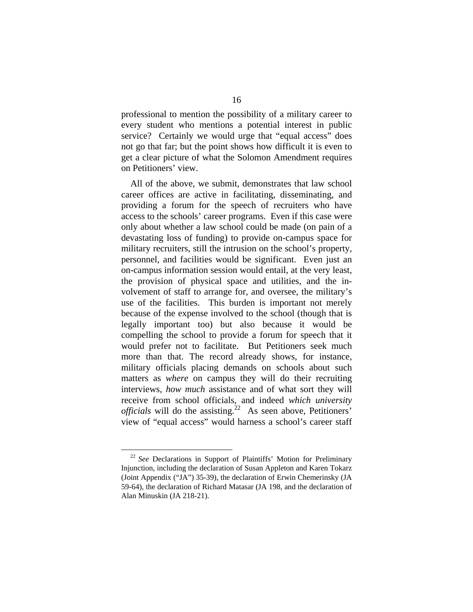professional to mention the possibility of a military career to every student who mentions a potential interest in public service? Certainly we would urge that "equal access" does not go that far; but the point shows how difficult it is even to get a clear picture of what the Solomon Amendment requires on Petitioners' view.

All of the above, we submit, demonstrates that law school career offices are active in facilitating, disseminating, and providing a forum for the speech of recruiters who have access to the schools' career programs. Even if this case were only about whether a law school could be made (on pain of a devastating loss of funding) to provide on-campus space for military recruiters, still the intrusion on the school's property, personnel, and facilities would be significant. Even just an on-campus information session would entail, at the very least, the provision of physical space and utilities, and the involvement of staff to arrange for, and oversee, the military's use of the facilities. This burden is important not merely because of the expense involved to the school (though that is legally important too) but also because it would be compelling the school to provide a forum for speech that it would prefer not to facilitate. But Petitioners seek much more than that. The record already shows, for instance, military officials placing demands on schools about such matters as *where* on campus they will do their recruiting interviews, *how much* assistance and of what sort they will receive from school officials, and indeed *which university officials* will do the assisting.<sup>22</sup> As seen above, Petitioners' view of "equal access" would harness a school's career staff

<span id="page-18-0"></span> <sup>22</sup> *See* Declarations in Support of Plaintiffs' Motion for Preliminary Injunction, including the declaration of Susan Appleton and Karen Tokarz (Joint Appendix ("JA") 35-39), the declaration of Erwin Chemerinsky (JA 59-64), the declaration of Richard Matasar (JA 198, and the declaration of Alan Minuskin (JA 218-21).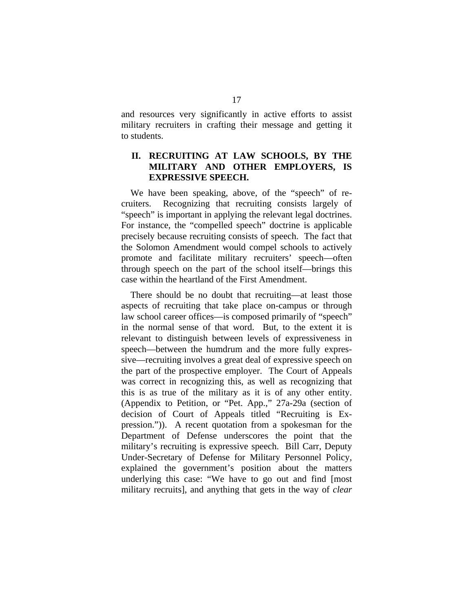and resources very significantly in active efforts to assist military recruiters in crafting their message and getting it to students.

#### **II. RECRUITING AT LAW SCHOOLS, BY THE MILITARY AND OTHER EMPLOYERS, IS EXPRESSIVE SPEECH.**

We have been speaking, above, of the "speech" of recruiters. Recognizing that recruiting consists largely of "speech" is important in applying the relevant legal doctrines. For instance, the "compelled speech" doctrine is applicable precisely because recruiting consists of speech. The fact that the Solomon Amendment would compel schools to actively promote and facilitate military recruiters' speech—often through speech on the part of the school itself—brings this case within the heartland of the First Amendment.

There should be no doubt that recruiting—at least those aspects of recruiting that take place on-campus or through law school career offices—is composed primarily of "speech" in the normal sense of that word. But, to the extent it is relevant to distinguish between levels of expressiveness in speech—between the humdrum and the more fully expressive—recruiting involves a great deal of expressive speech on the part of the prospective employer. The Court of Appeals was correct in recognizing this, as well as recognizing that this is as true of the military as it is of any other entity. (Appendix to Petition, or "Pet. App.," 27a-29a (section of decision of Court of Appeals titled "Recruiting is Expression.")). A recent quotation from a spokesman for the Department of Defense underscores the point that the military's recruiting is expressive speech. Bill Carr, Deputy Under-Secretary of Defense for Military Personnel Policy, explained the government's position about the matters underlying this case: "We have to go out and find [most military recruits], and anything that gets in the way of *clear*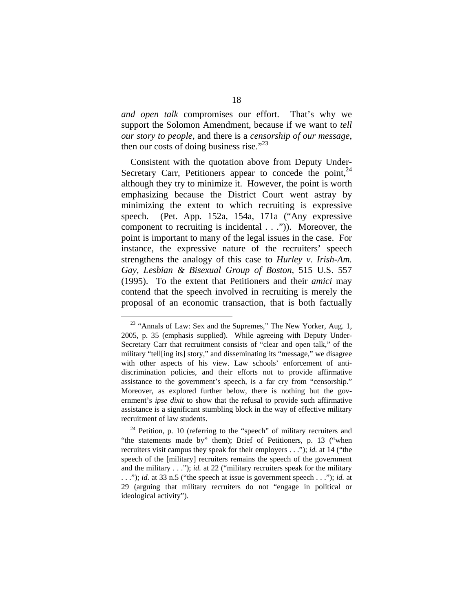*and open talk* compromises our effort. That's why we support the Solomon Amendment, because if we want to *tell our story to people*, and there is a *censorship of our message*, then our costs of doing business rise." $^{23}$ 

Consistent with the quotation above from Deputy Under-Secretary Carr, Petitioners appear to concede the point,  $24$ although they try to minimize it. However, the point is worth emphasizing because the District Court went astray by minimizing the extent to which recruiting is expressive speech. (Pet. App. 152a, 154a, 171a ("Any expressive component to recruiting is incidental . . .")). Moreover, the point is important to many of the legal issues in the case. For instance, the expressive nature of the recruiters' speech strengthens the analogy of this case to *Hurley v. Irish-Am. Gay, Lesbian & Bisexual Group of Boston*, 515 U.S. 557 (1995). To the extent that Petitioners and their *amici* may contend that the speech involved in recruiting is merely the proposal of an economic transaction, that is both factually

<span id="page-20-0"></span><sup>&</sup>lt;sup>23</sup> "Annals of Law: Sex and the Supremes," The New Yorker, Aug. 1, 2005, p. 35 (emphasis supplied). While agreeing with Deputy Under-Secretary Carr that recruitment consists of "clear and open talk," of the military "tell[ing its] story," and disseminating its "message," we disagree with other aspects of his view. Law schools' enforcement of antidiscrimination policies, and their efforts not to provide affirmative assistance to the government's speech, is a far cry from "censorship." Moreover, as explored further below, there is nothing but the government's *ipse dixit* to show that the refusal to provide such affirmative assistance is a significant stumbling block in the way of effective military recruitment of law students.

<span id="page-20-1"></span> $24$  Petition, p. 10 (referring to the "speech" of military recruiters and "the statements made by" them); Brief of Petitioners, p. 13 ("when recruiters visit campus they speak for their employers . . ."); *id.* at 14 ("the speech of the [military] recruiters remains the speech of the government and the military . . ."); *id.* at 22 ("military recruiters speak for the military . . ."); *id.* at 33 n.5 ("the speech at issue is government speech . . ."); *id.* at 29 (arguing that military recruiters do not "engage in political or ideological activity").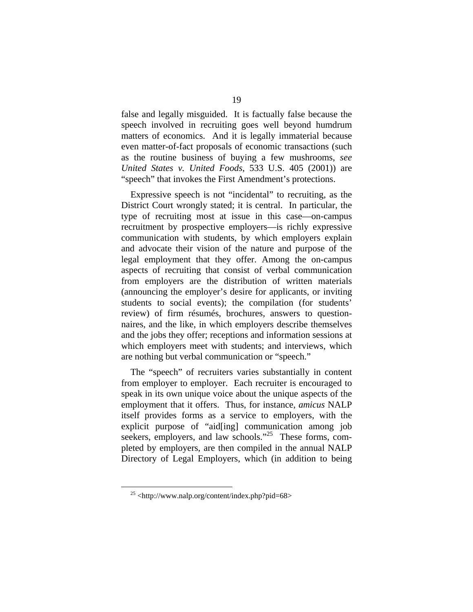false and legally misguided. It is factually false because the speech involved in recruiting goes well beyond humdrum matters of economics. And it is legally immaterial because even matter-of-fact proposals of economic transactions (such as the routine business of buying a few mushrooms, *see United States v. United Foods*, 533 U.S. 405 (2001)) are "speech" that invokes the First Amendment's protections.

Expressive speech is not "incidental" to recruiting, as the District Court wrongly stated; it is central. In particular, the type of recruiting most at issue in this case—on-campus recruitment by prospective employers—is richly expressive communication with students, by which employers explain and advocate their vision of the nature and purpose of the legal employment that they offer. Among the on-campus aspects of recruiting that consist of verbal communication from employers are the distribution of written materials (announcing the employer's desire for applicants, or inviting students to social events); the compilation (for students' review) of firm résumés, brochures, answers to questionnaires, and the like, in which employers describe themselves and the jobs they offer; receptions and information sessions at which employers meet with students; and interviews, which are nothing but verbal communication or "speech."

The "speech" of recruiters varies substantially in content from employer to employer. Each recruiter is encouraged to speak in its own unique voice about the unique aspects of the employment that it offers. Thus, for instance, *amicus* NALP itself provides forms as a service to employers, with the explicit purpose of "aid[ing] communication among job seekers, employers, and law schools."<sup>25</sup> These forms, completed by employers, are then compiled in the annual NALP Directory of Legal Employers, which (in addition to being

<span id="page-21-0"></span> $25$  <http://www.nalp.org/content/index.php?pid=68>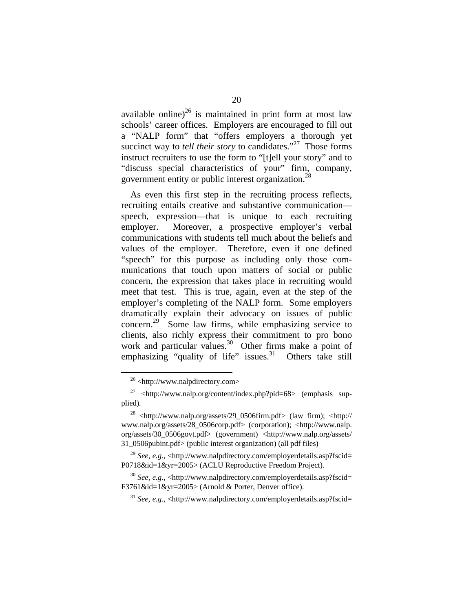available online) $^{26}$  is maintained in print form at most law schools' career offices. Employers are encouraged to fill out a "NALP form" that "offers employers a thorough yet succinct way to *tell their story* to candidates."<sup>27</sup> Those forms instruct recruiters to use the form to "[t]ell your story" and to "discuss special characteristics of your" firm, company, government entity or public interest organization.[28](#page-22-2)

As even this first step in the recruiting process reflects, recruiting entails creative and substantive communication speech, expression—that is unique to each recruiting employer. Moreover, a prospective employer's verbal communications with students tell much about the beliefs and values of the employer. Therefore, even if one defined "speech" for this purpose as including only those communications that touch upon matters of social or public concern, the expression that takes place in recruiting would meet that test. This is true, again, even at the step of the employer's completing of the NALP form. Some employers dramatically explain their advocacy on issues of public concern.<sup>29</sup> Some law firms, while emphasizing service to clients, also richly express their commitment to pro bono work and particular values.<sup>30</sup> Other firms make a point of emphasizing "quality of life" issues.<sup>31</sup> Others take still

<span id="page-22-1"></span><span id="page-22-0"></span> <sup>26 &</sup>lt;http://www.nalpdirectory.com>

<sup>&</sup>lt;sup>27</sup> <http://www.nalp.org/content/index.php?pid=68> (emphasis supplied)*.*

<span id="page-22-2"></span> $^{28}$  <http://www.nalp.org/assets/29\_0506firm.pdf> (law firm); <http:// www.nalp.org/assets/28\_0506corp.pdf> (corporation); <http://www.nalp. org/assets/30\_0506govt.pdf> (government) <http://www.nalp.org/assets/ 31\_0506pubint.pdf> (public interest organization) (all pdf files)

<span id="page-22-3"></span><sup>29</sup> *See*, *e.g.*, <http://www.nalpdirectory.com/employerdetails.asp?fscid= P0718&id=1&yr=2005> (ACLU Reproductive Freedom Project).

<span id="page-22-4"></span><sup>30</sup> *See*, *e.g.*, <http://www.nalpdirectory.com/employerdetails.asp?fscid= F3761&id=1&yr=2005> (Arnold & Porter, Denver office).

<span id="page-22-5"></span><sup>31</sup> *See*, *e.g.*, <http://www.nalpdirectory.com/employerdetails.asp?fscid=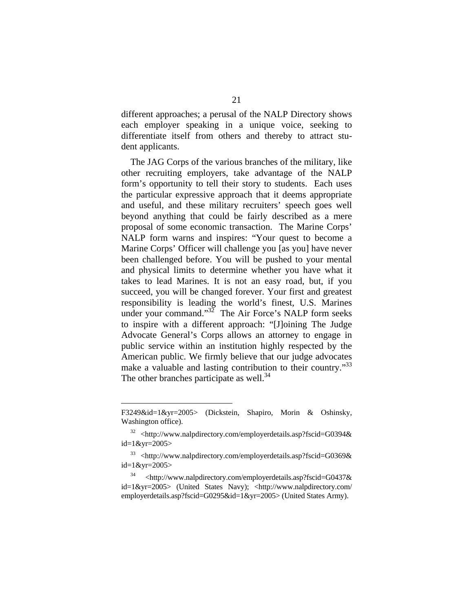different approaches; a perusal of the NALP Directory shows each employer speaking in a unique voice, seeking to differentiate itself from others and thereby to attract student applicants.

The JAG Corps of the various branches of the military, like other recruiting employers, take advantage of the NALP form's opportunity to tell their story to students. Each uses the particular expressive approach that it deems appropriate and useful, and these military recruiters' speech goes well beyond anything that could be fairly described as a mere proposal of some economic transaction. The Marine Corps' NALP form warns and inspires: "Your quest to become a Marine Corps' Officer will challenge you [as you] have never been challenged before. You will be pushed to your mental and physical limits to determine whether you have what it takes to lead Marines. It is not an easy road, but, if you succeed, you will be changed forever. Your first and greatest responsibility is leading the world's finest, U.S. Marines under your command."<sup>32</sup> The Air Force's NALP form seeks to inspire with a different approach: "[J]oining The Judge Advocate General's Corps allows an attorney to engage in public service within an institution highly respected by the American public. We firmly believe that our judge advocates make a valuable and lasting contribution to their country."<sup>33</sup> The other branches participate as well.<sup>34</sup>

1

F3249&id=1&yr=2005> (Dickstein, Shapiro, Morin & Oshinsky, Washington office).

<span id="page-23-0"></span><sup>32 &</sup>lt;http://www.nalpdirectory.com/employerdetails.asp?fscid=G0394& id=1&yr=2005>

<span id="page-23-1"></span><sup>33 &</sup>lt;http://www.nalpdirectory.com/employerdetails.asp?fscid=G0369& id=1&yr=2005>

<span id="page-23-2"></span><sup>34 &</sup>lt;http://www.nalpdirectory.com/employerdetails.asp?fscid=G0437& id=1&yr=2005> (United States Navy); <http://www.nalpdirectory.com/ employerdetails.asp?fscid=G0295&id=1&yr=2005> (United States Army).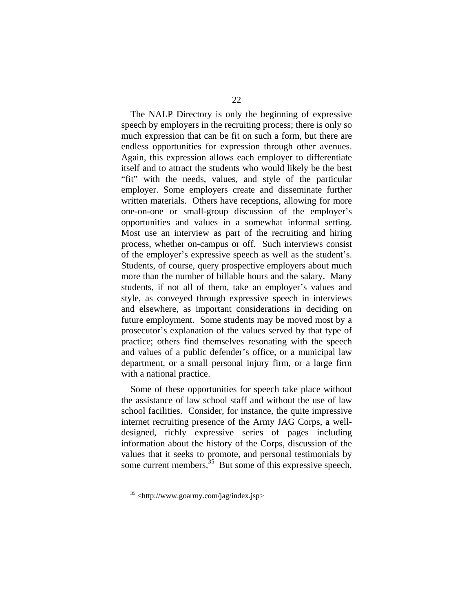The NALP Directory is only the beginning of expressive speech by employers in the recruiting process; there is only so much expression that can be fit on such a form, but there are endless opportunities for expression through other avenues. Again, this expression allows each employer to differentiate itself and to attract the students who would likely be the best "fit" with the needs, values, and style of the particular employer. Some employers create and disseminate further written materials. Others have receptions, allowing for more one-on-one or small-group discussion of the employer's opportunities and values in a somewhat informal setting. Most use an interview as part of the recruiting and hiring process, whether on-campus or off. Such interviews consist of the employer's expressive speech as well as the student's. Students, of course, query prospective employers about much more than the number of billable hours and the salary. Many students, if not all of them, take an employer's values and style, as conveyed through expressive speech in interviews and elsewhere, as important considerations in deciding on future employment. Some students may be moved most by a prosecutor's explanation of the values served by that type of practice; others find themselves resonating with the speech and values of a public defender's office, or a municipal law department, or a small personal injury firm, or a large firm with a national practice.

Some of these opportunities for speech take place without the assistance of law school staff and without the use of law school facilities. Consider, for instance, the quite impressive internet recruiting presence of the Army JAG Corps, a welldesigned, richly expressive series of pages including information about the history of the Corps, discussion of the values that it seeks to promote, and personal testimonials by some current members.  $35$  But some of this expressive speech,

<span id="page-24-0"></span> $35$  <http://www.goarmy.com/jag/index.jsp>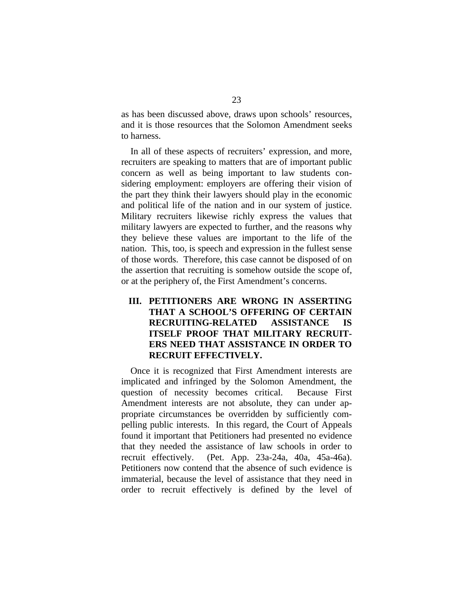as has been discussed above, draws upon schools' resources, and it is those resources that the Solomon Amendment seeks to harness.

In all of these aspects of recruiters' expression, and more, recruiters are speaking to matters that are of important public concern as well as being important to law students considering employment: employers are offering their vision of the part they think their lawyers should play in the economic and political life of the nation and in our system of justice. Military recruiters likewise richly express the values that military lawyers are expected to further, and the reasons why they believe these values are important to the life of the nation. This, too, is speech and expression in the fullest sense of those words. Therefore, this case cannot be disposed of on the assertion that recruiting is somehow outside the scope of, or at the periphery of, the First Amendment's concerns.

### **III. PETITIONERS ARE WRONG IN ASSERTING THAT A SCHOOL'S OFFERING OF CERTAIN RECRUITING-RELATED ASSISTANCE IS ITSELF PROOF THAT MILITARY RECRUIT-ERS NEED THAT ASSISTANCE IN ORDER TO RECRUIT EFFECTIVELY.**

Once it is recognized that First Amendment interests are implicated and infringed by the Solomon Amendment, the question of necessity becomes critical. Because First Amendment interests are not absolute, they can under appropriate circumstances be overridden by sufficiently compelling public interests. In this regard, the Court of Appeals found it important that Petitioners had presented no evidence that they needed the assistance of law schools in order to recruit effectively. (Pet. App. 23a-24a, 40a, 45a-46a). Petitioners now contend that the absence of such evidence is immaterial, because the level of assistance that they need in order to recruit effectively is defined by the level of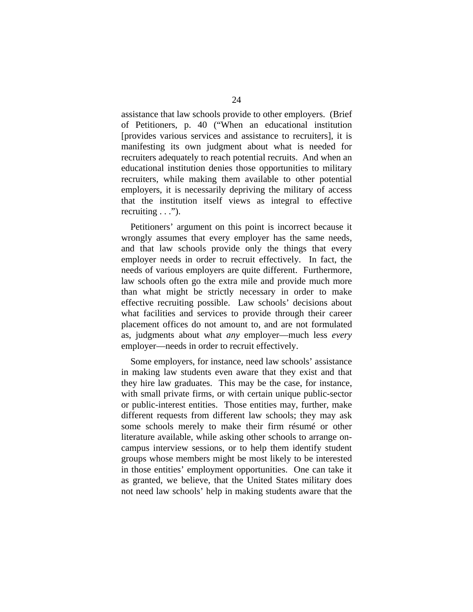assistance that law schools provide to other employers. (Brief of Petitioners, p. 40 ("When an educational institution [provides various services and assistance to recruiters], it is manifesting its own judgment about what is needed for recruiters adequately to reach potential recruits. And when an educational institution denies those opportunities to military recruiters, while making them available to other potential employers, it is necessarily depriving the military of access that the institution itself views as integral to effective recruiting . . .").

Petitioners' argument on this point is incorrect because it wrongly assumes that every employer has the same needs, and that law schools provide only the things that every employer needs in order to recruit effectively. In fact, the needs of various employers are quite different. Furthermore, law schools often go the extra mile and provide much more than what might be strictly necessary in order to make effective recruiting possible. Law schools' decisions about what facilities and services to provide through their career placement offices do not amount to, and are not formulated as, judgments about what *any* employer—much less *every* employer—needs in order to recruit effectively.

Some employers, for instance, need law schools' assistance in making law students even aware that they exist and that they hire law graduates. This may be the case, for instance, with small private firms, or with certain unique public-sector or public-interest entities. Those entities may, further, make different requests from different law schools; they may ask some schools merely to make their firm résumé or other literature available, while asking other schools to arrange oncampus interview sessions, or to help them identify student groups whose members might be most likely to be interested in those entities' employment opportunities. One can take it as granted, we believe, that the United States military does not need law schools' help in making students aware that the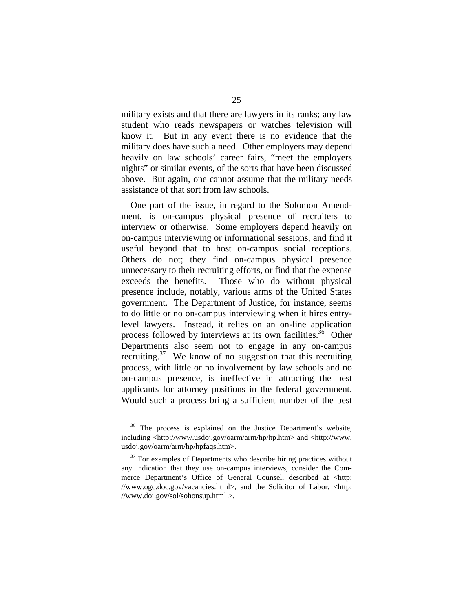military exists and that there are lawyers in its ranks; any law student who reads newspapers or watches television will know it. But in any event there is no evidence that the military does have such a need. Other employers may depend heavily on law schools' career fairs, "meet the employers nights" or similar events, of the sorts that have been discussed above. But again, one cannot assume that the military needs assistance of that sort from law schools.

One part of the issue, in regard to the Solomon Amendment, is on-campus physical presence of recruiters to interview or otherwise. Some employers depend heavily on on-campus interviewing or informational sessions, and find it useful beyond that to host on-campus social receptions. Others do not; they find on-campus physical presence unnecessary to their recruiting efforts, or find that the expense exceeds the benefits. Those who do without physical presence include, notably, various arms of the United States government. The Department of Justice, for instance, seems to do little or no on-campus interviewing when it hires entrylevel lawyers. Instead, it relies on an on-line application process followed by interviews at its own facilities.<sup>36</sup> Other Departments also seem not to engage in any on-campus recruiting. $37$  We know of no suggestion that this recruiting process, with little or no involvement by law schools and no on-campus presence, is ineffective in attracting the best applicants for attorney positions in the federal government. Would such a process bring a sufficient number of the best

<span id="page-27-0"></span><sup>&</sup>lt;sup>36</sup> The process is explained on the Justice Department's website, including <http://www.usdoj.gov/oarm/arm/hp/hp.htm> and <http://www. usdoj.gov/oarm/arm/hp/hpfaqs.htm>.

<span id="page-27-1"></span> $37$  For examples of Departments who describe hiring practices without any indication that they use on-campus interviews, consider the Commerce Department's Office of General Counsel, described at <http: //www.ogc.doc.gov/vacancies.html>, and the Solicitor of Labor, <http: //www.doi.gov/sol/sohonsup.html >.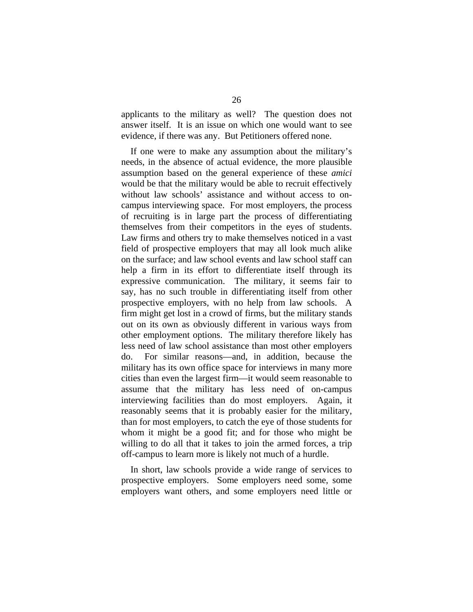applicants to the military as well? The question does not answer itself. It is an issue on which one would want to see evidence, if there was any. But Petitioners offered none.

If one were to make any assumption about the military's needs, in the absence of actual evidence, the more plausible assumption based on the general experience of these *amici* would be that the military would be able to recruit effectively without law schools' assistance and without access to oncampus interviewing space. For most employers, the process of recruiting is in large part the process of differentiating themselves from their competitors in the eyes of students. Law firms and others try to make themselves noticed in a vast field of prospective employers that may all look much alike on the surface; and law school events and law school staff can help a firm in its effort to differentiate itself through its expressive communication. The military, it seems fair to say, has no such trouble in differentiating itself from other prospective employers, with no help from law schools. A firm might get lost in a crowd of firms, but the military stands out on its own as obviously different in various ways from other employment options. The military therefore likely has less need of law school assistance than most other employers do. For similar reasons—and, in addition, because the military has its own office space for interviews in many more cities than even the largest firm—it would seem reasonable to assume that the military has less need of on-campus interviewing facilities than do most employers. Again, it reasonably seems that it is probably easier for the military, than for most employers, to catch the eye of those students for whom it might be a good fit; and for those who might be willing to do all that it takes to join the armed forces, a trip off-campus to learn more is likely not much of a hurdle.

In short, law schools provide a wide range of services to prospective employers. Some employers need some, some employers want others, and some employers need little or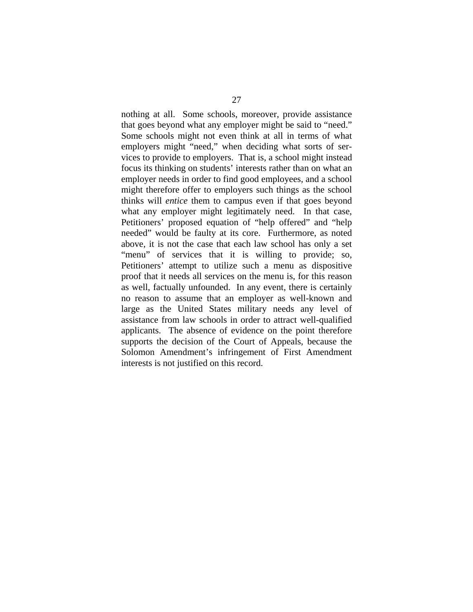nothing at all. Some schools, moreover, provide assistance that goes beyond what any employer might be said to "need." Some schools might not even think at all in terms of what employers might "need," when deciding what sorts of services to provide to employers. That is, a school might instead focus its thinking on students' interests rather than on what an employer needs in order to find good employees, and a school might therefore offer to employers such things as the school thinks will *entice* them to campus even if that goes beyond what any employer might legitimately need. In that case, Petitioners' proposed equation of "help offered" and "help needed" would be faulty at its core. Furthermore, as noted above, it is not the case that each law school has only a set "menu" of services that it is willing to provide; so, Petitioners' attempt to utilize such a menu as dispositive proof that it needs all services on the menu is, for this reason as well, factually unfounded. In any event, there is certainly no reason to assume that an employer as well-known and large as the United States military needs any level of assistance from law schools in order to attract well-qualified applicants. The absence of evidence on the point therefore supports the decision of the Court of Appeals, because the Solomon Amendment's infringement of First Amendment interests is not justified on this record.